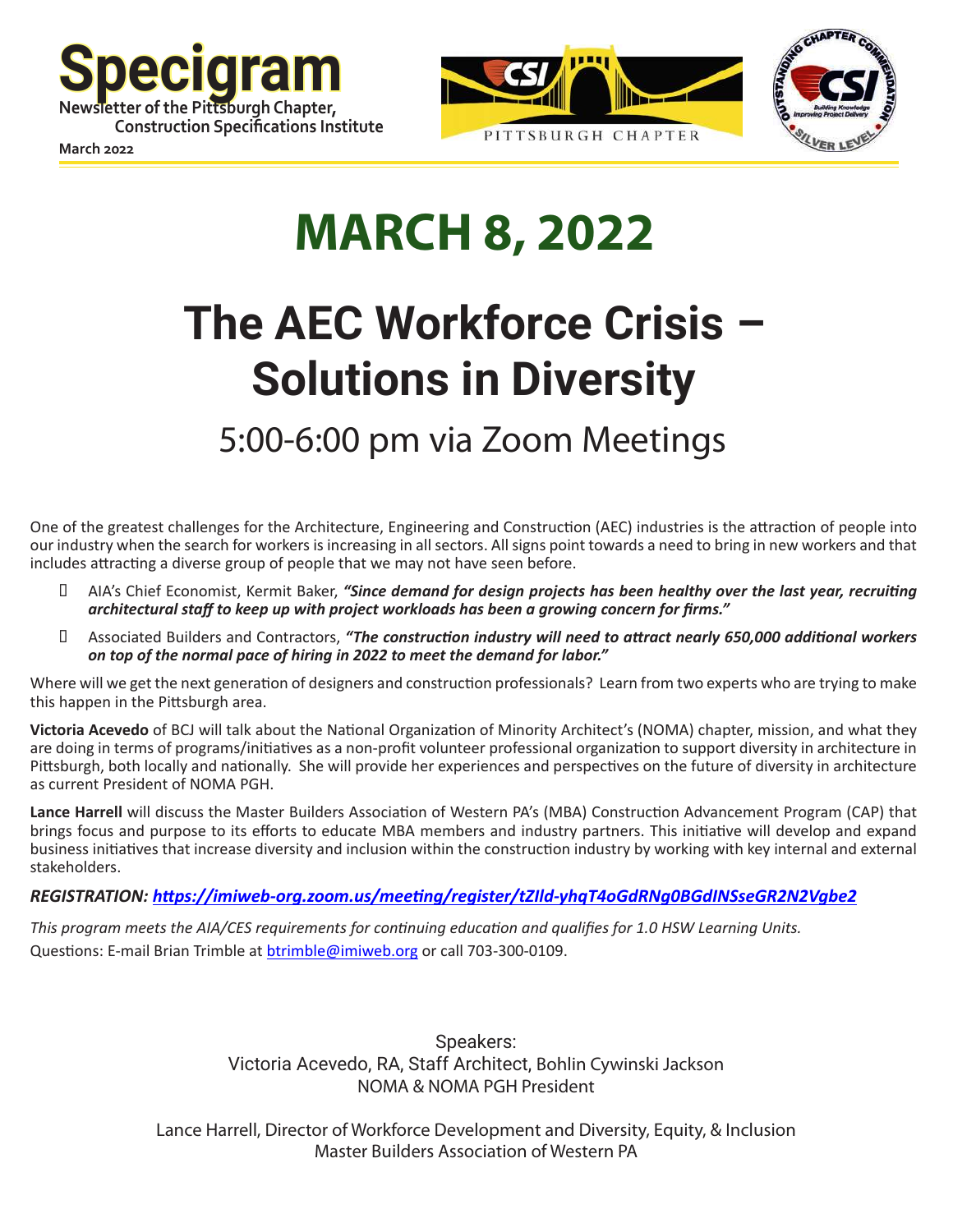





**March 2022**

# **MARCH 8, 2022**

# **The AEC Workforce Crisis – Solutions in Diversity**

# 5:00-6:00 pm via Zoom Meetings

One of the greatest challenges for the Architecture, Engineering and Construction (AEC) industries is the attraction of people into our industry when the search for workers is increasing in all sectors. All signs point towards a need to bring in new workers and that includes attracting a diverse group of people that we may not have seen before.

- **I** AIA's Chief Economist, Kermit Baker, "Since demand for design projects has been healthy over the last year, recruiting *architectural staff to keep up with project workloads has been a growing concern for firms."*
- • Associated Builders and Contractors, *"The construction industry will need to attract nearly 650,000 additional workers on top of the normal pace of hiring in 2022 to meet the demand for labor."*

Where will we get the next generation of designers and construction professionals? Learn from two experts who are trying to make this happen in the Pittsburgh area.

**Victoria Acevedo** of BCJ will talk about the National Organization of Minority Architect's (NOMA) chapter, mission, and what they are doing in terms of programs/initiatives as a non-profit volunteer professional organization to support diversity in architecture in Pittsburgh, both locally and nationally. She will provide her experiences and perspectives on the future of diversity in architecture as current President of NOMA PGH.

**Lance Harrell** will discuss the Master Builders Association of Western PA's (MBA) Construction Advancement Program (CAP) that brings focus and purpose to its efforts to educate MBA members and industry partners. This initiative will develop and expand business initiatives that increase diversity and inclusion within the construction industry by working with key internal and external stakeholders.

#### *REGISTRATION: <https://imiweb-org.zoom.us/meeting/register/tZIld-yhqT4oGdRNg0BGdINSseGR2N2Vgbe2>*

*This program meets the AIA/CES requirements for continuing education and qualifies for 1.0 HSW Learning Units.*  Questions: E-mail Brian Trimble at [btrimble@imiweb.org](mailto:btrimble@imiweb.org) or call 703-300-0109.

> Speakers: Victoria Acevedo, RA, Staff Architect, Bohlin Cywinski Jackson NOMA & NOMA PGH President

Lance Harrell, Director of Workforce Development and Diversity, Equity, & Inclusion Master Builders Association of Western PA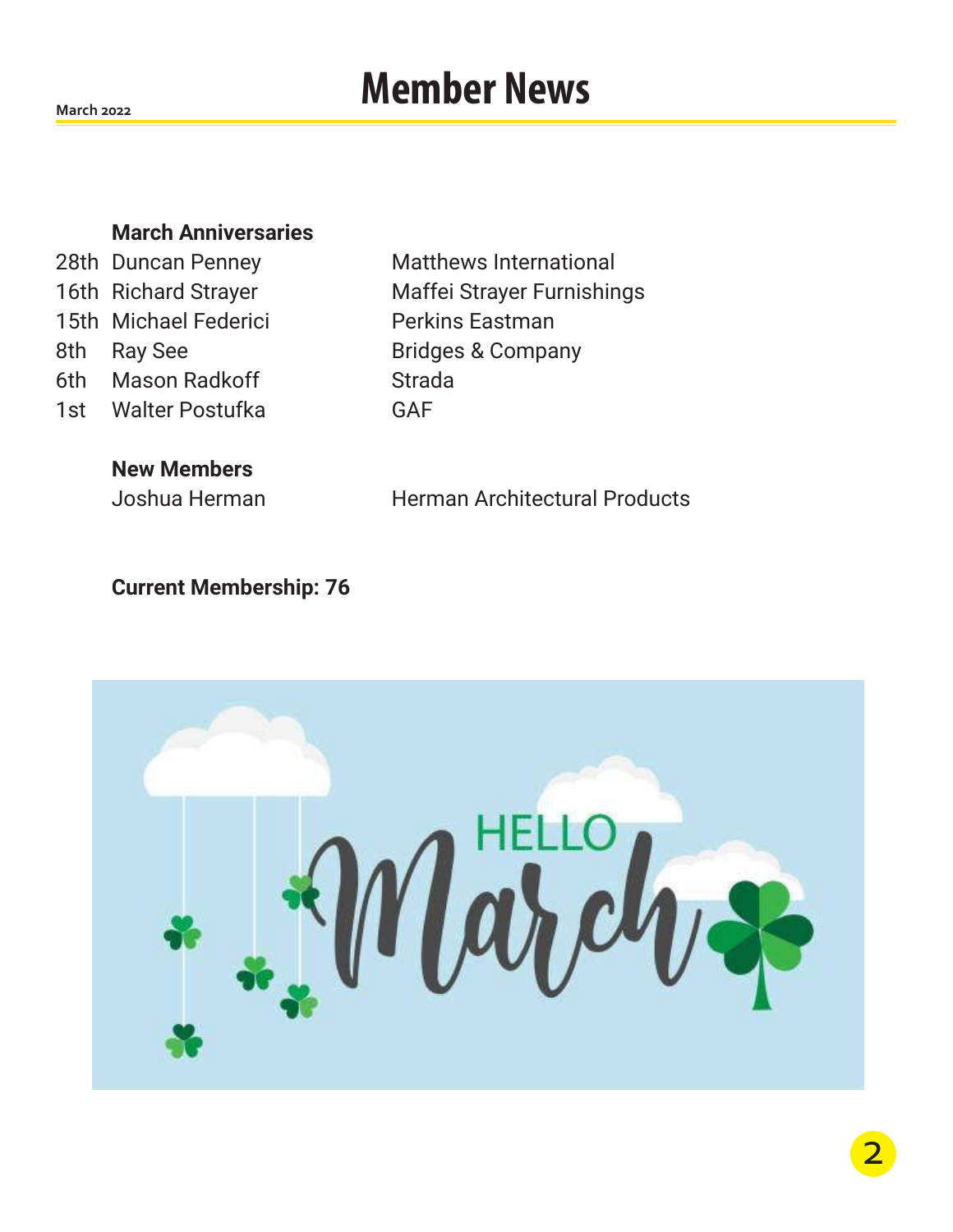# **Member News**

**March 2022**

#### **March Anniversaries**

15th Michael Federici Perkins Eastman 8th Ray See Bridges & Company 6th Mason Radkoff Strada 1st Walter Postufka GAF

**New Members**

28th Duncan Penney Matthews International 16th Richard Strayer Maffei Strayer Furnishings

Joshua Herman Herman Architectural Products

#### **Current Membership: 76**

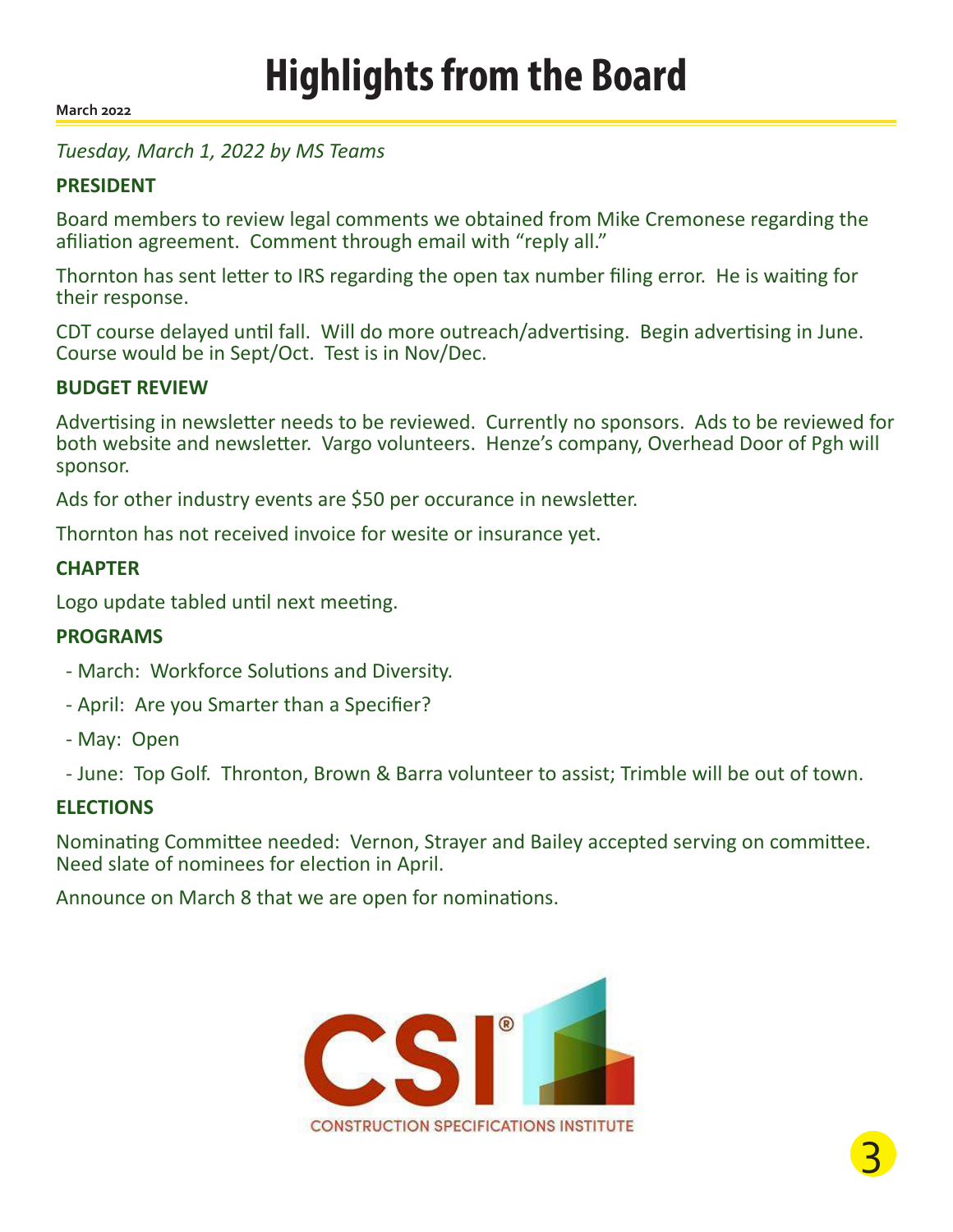**March 2022**

#### *Tuesday, March 1, 2022 by MS Teams*

#### **PRESIDENT**

Board members to review legal comments we obtained from Mike Cremonese regarding the afiliation agreement. Comment through email with "reply all."

Thornton has sent letter to IRS regarding the open tax number filing error. He is waiting for their response.

CDT course delayed until fall. Will do more outreach/advertising. Begin advertising in June. Course would be in Sept/Oct. Test is in Nov/Dec.

#### **BUDGET REVIEW**

Advertising in newsletter needs to be reviewed. Currently no sponsors. Ads to be reviewed for both website and newsletter. Vargo volunteers. Henze's company, Overhead Door of Pgh will sponsor.

Ads for other industry events are \$50 per occurance in newsletter.

Thornton has not received invoice for wesite or insurance yet.

#### **CHAPTER**

Logo update tabled until next meeting.

#### **PROGRAMS**

- March: Workforce Solutions and Diversity.
- April: Are you Smarter than a Specifier?
- May: Open
- June: Top Golf. Thronton, Brown & Barra volunteer to assist; Trimble will be out of town.

#### **ELECTIONS**

Nominating Committee needed: Vernon, Strayer and Bailey accepted serving on committee. Need slate of nominees for election in April.

Announce on March 8 that we are open for nominations.

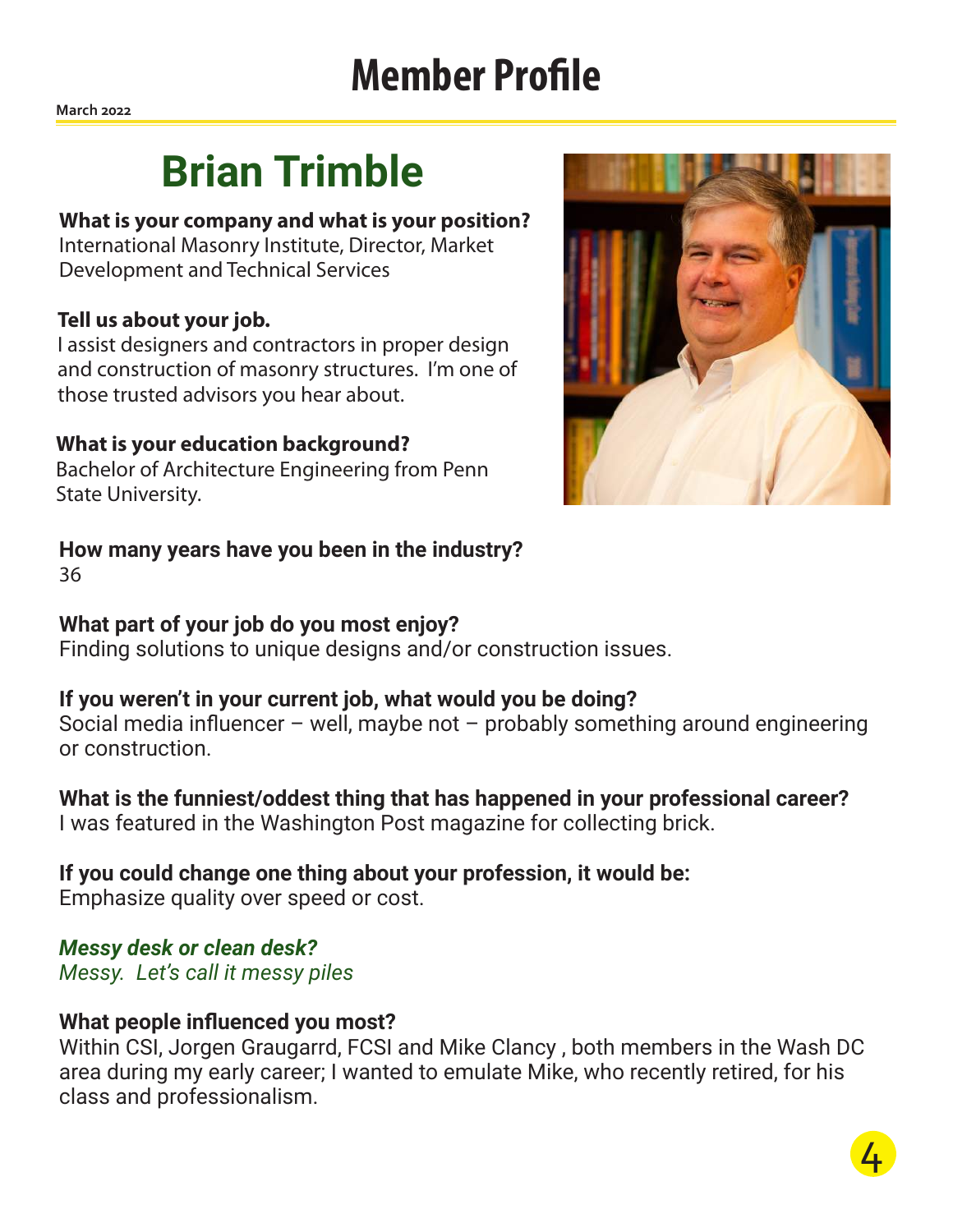# **Member Profile**

**March 2022**

# **Brian Trimble**

#### **What is your company and what is your position?**

International Masonry Institute, Director, Market Development and Technical Services

#### **Tell us about your job.**

I assist designers and contractors in proper design and construction of masonry structures. I'm one of those trusted advisors you hear about.

#### **What is your education background?**

Bachelor of Architecture Engineering from Penn State University.



## **How many years have you been in the industry?**

36

### **What part of your job do you most enjoy?**

Finding solutions to unique designs and/or construction issues.

### **If you weren't in your current job, what would you be doing?**

Social media influencer – well, maybe not – probably something around engineering or construction.

## **What is the funniest/oddest thing that has happened in your professional career?**

I was featured in the Washington Post magazine for collecting brick.

## **If you could change one thing about your profession, it would be:**

Emphasize quality over speed or cost.

### *Messy desk or clean desk?*

*Messy. Let's call it messy piles* 

### **What people influenced you most?**

Within CSI, Jorgen Graugarrd, FCSI and Mike Clancy , both members in the Wash DC area during my early career; I wanted to emulate Mike, who recently retired, for his class and professionalism.

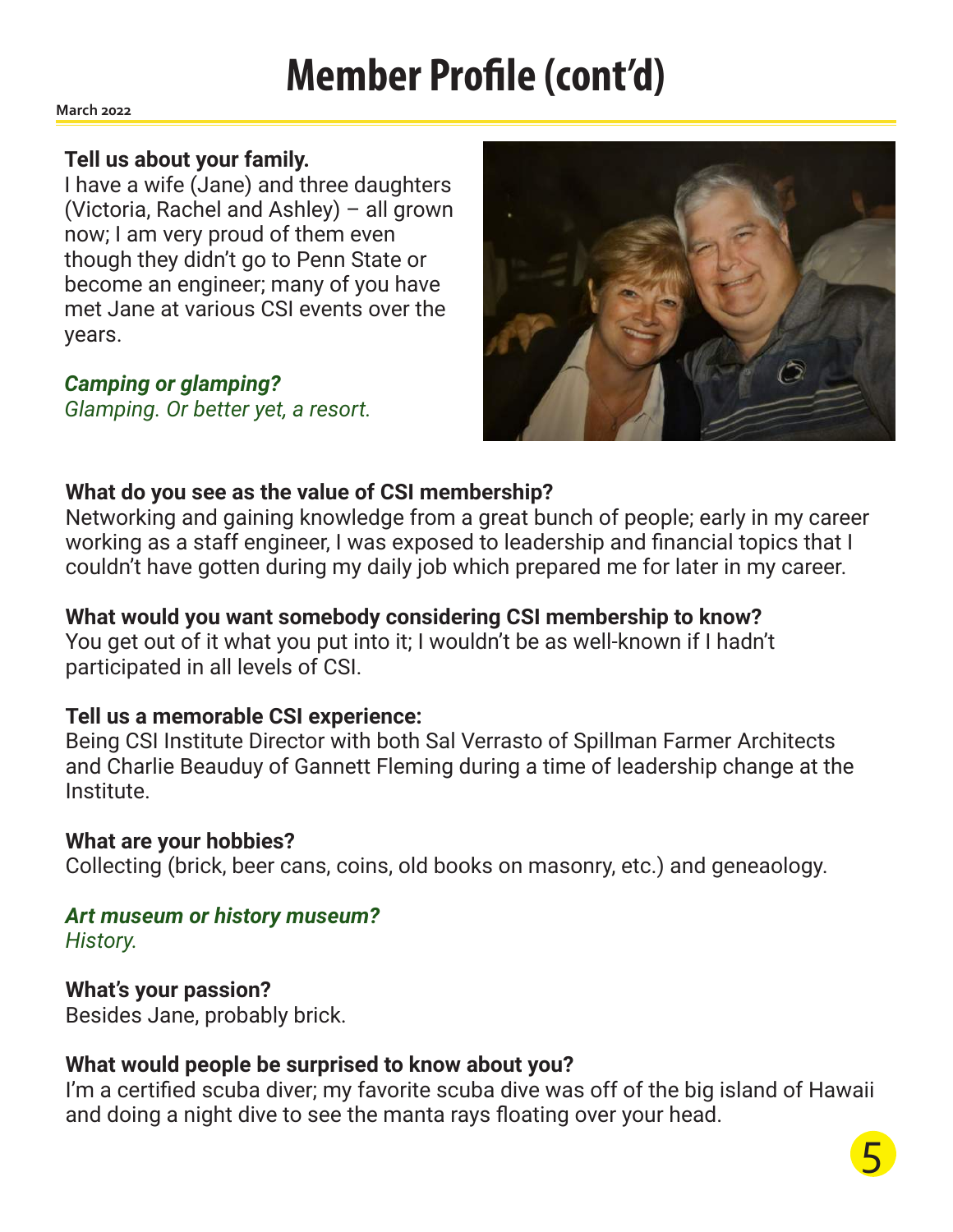# **Member Profile (cont'd)**

**March 2022**

#### **Tell us about your family.**

I have a wife (Jane) and three daughters (Victoria, Rachel and Ashley) – all grown now; I am very proud of them even though they didn't go to Penn State or become an engineer; many of you have met Jane at various CSI events over the years.

*Camping or glamping? Glamping. Or better yet, a resort.*



### **What do you see as the value of CSI membership?**

Networking and gaining knowledge from a great bunch of people; early in my career working as a staff engineer, I was exposed to leadership and financial topics that I couldn't have gotten during my daily job which prepared me for later in my career.

**What would you want somebody considering CSI membership to know?** You get out of it what you put into it; I wouldn't be as well-known if I hadn't participated in all levels of CSI.

### **Tell us a memorable CSI experience:**

Being CSI Institute Director with both Sal Verrasto of Spillman Farmer Architects and Charlie Beauduy of Gannett Fleming during a time of leadership change at the Institute.

### **What are your hobbies?**

Collecting (brick, beer cans, coins, old books on masonry, etc.) and geneaology.

# *Art museum or history museum?*

*History.*

### **What's your passion?**

Besides Jane, probably brick.

### **What would people be surprised to know about you?**

I'm a certified scuba diver; my favorite scuba dive was off of the big island of Hawaii and doing a night dive to see the manta rays floating over your head.

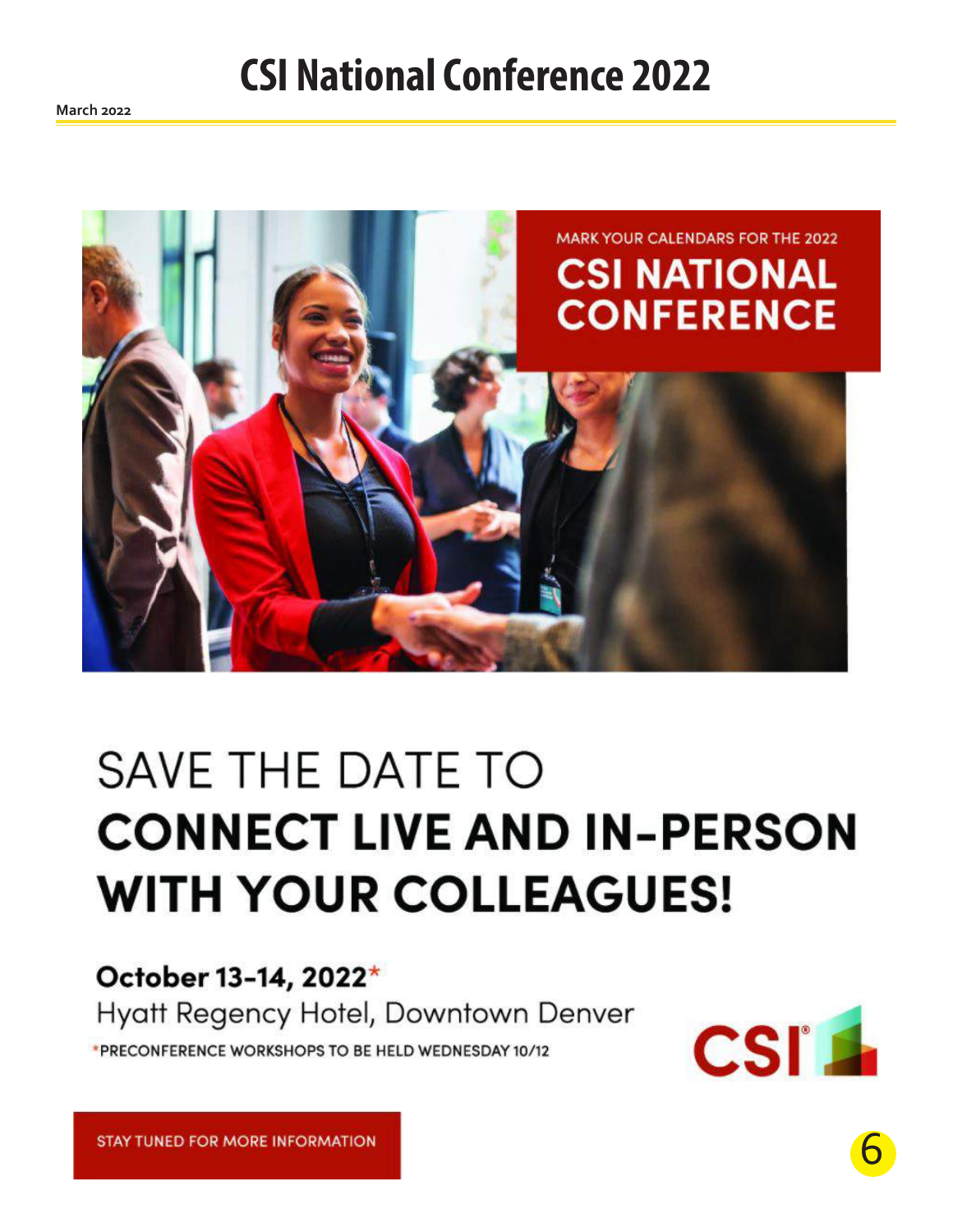# **CSI National Conference 2022**



# SAVE THE DATE TO **CONNECT LIVE AND IN-PERSON WITH YOUR COLLEAGUES!**

# October 13-14, 2022\*

Hyatt Regency Hotel, Downtown Denver \*PRECONFERENCE WORKSHOPS TO BE HELD WEDNESDAY 10/12



**STAY TUNED FOR MORE INFORMATION**